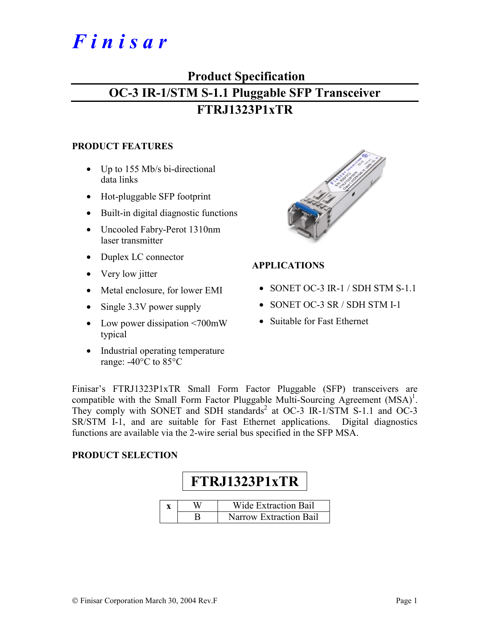# *F i n i s a r*

## **Product Specification OC-3 IR-1/STM S-1.1 Pluggable SFP Transceiver FTRJ1323P1xTR**

#### **PRODUCT FEATURES**

- Up to 155 Mb/s bi-directional data links
- Hot-pluggable SFP footprint
- Built-in digital diagnostic functions
- Uncooled Fabry-Perot 1310nm laser transmitter
- Duplex LC connector
- Very low jitter
- Metal enclosure, for lower EMI
- Single 3.3V power supply
- Low power dissipation <700mW typical
- Industrial operating temperature range: -40°C to 85°C



#### **APPLICATIONS**

- SONET OC-3 IR-1 / SDH STM S-1.1
- SONET OC-3 SR / SDH STM I-1
- Suitable for Fast Ethernet

Finisar's FTRJ1323P1xTR Small Form Factor Pluggable (SFP) transceivers are compatible with the Small Form Factor Pluggable Multi-Sourcing Agreement  $(MSA)^1$ . They comply with SONET and SDH standards<sup>2</sup> at OC-3 IR-1/STM S-1.1 and OC-3 SR/STM I-1, and are suitable for Fast Ethernet applications. Digital diagnostics functions are available via the 2-wire serial bus specified in the SFP MSA.

#### **PRODUCT SELECTION**

# **FTRJ1323P1xTR**

|  | <b>Wide Extraction Bail</b>   |
|--|-------------------------------|
|  | <b>Narrow Extraction Bail</b> |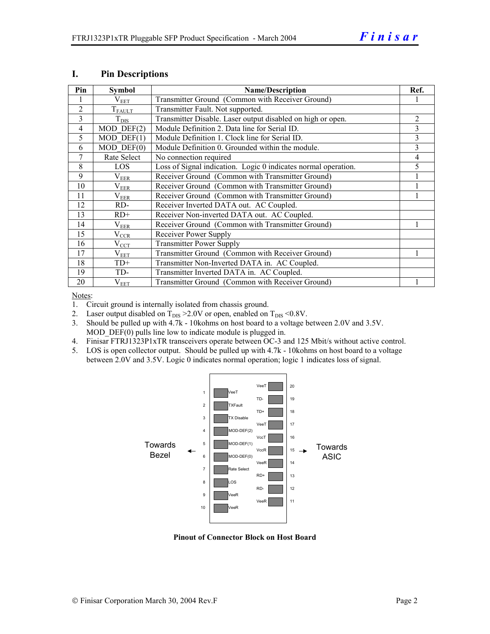| Pin            | Symbol            | <b>Name/Description</b>                                        | Ref.           |
|----------------|-------------------|----------------------------------------------------------------|----------------|
|                | $\rm V_{EET}$     | Transmitter Ground (Common with Receiver Ground)               |                |
| $\overline{2}$ | $T_{FAULT}$       | Transmitter Fault. Not supported.                              |                |
| 3              | $T_{\rm DIS}$     | Transmitter Disable. Laser output disabled on high or open.    | $\overline{2}$ |
| 4              | $MOD$ $DEF(2)$    | Module Definition 2. Data line for Serial ID.                  | 3              |
| 5              | $MOD$ DEF(1)      | Module Definition 1. Clock line for Serial ID.                 | 3              |
| 6              | $MOD$ $DEF(0)$    | Module Definition 0. Grounded within the module.               | 3              |
| 7              | Rate Select       | No connection required                                         | 4              |
| 8              | LOS               | Loss of Signal indication. Logic 0 indicates normal operation. | 5              |
| 9              | $\rm V_{EER}$     | Receiver Ground (Common with Transmitter Ground)               |                |
| 10             | $\rm V_{EER}$     | Receiver Ground (Common with Transmitter Ground)               |                |
| 11             | $\rm V_{\rm EER}$ | Receiver Ground (Common with Transmitter Ground)               |                |
| 12             | RD-               | Receiver Inverted DATA out. AC Coupled.                        |                |
| 13             | $RD+$             | Receiver Non-inverted DATA out. AC Coupled.                    |                |
| 14             | $\rm V_{EER}$     | Receiver Ground (Common with Transmitter Ground)               |                |
| 15             | $V_{CCR}$         | Receiver Power Supply                                          |                |
| 16             | $V_{\text{CCT}}$  | <b>Transmitter Power Supply</b>                                |                |
| 17             | $\rm V_{EET}$     | Transmitter Ground (Common with Receiver Ground)               |                |
| 18             | $TD+$             | Transmitter Non-Inverted DATA in. AC Coupled.                  |                |
| 19             | TD-               | Transmitter Inverted DATA in. AC Coupled.                      |                |
| 20             | $V_{EET}$         | Transmitter Ground (Common with Receiver Ground)               |                |

#### **I. Pin Descriptions**

Notes:

1. Circuit ground is internally isolated from chassis ground.

- 2. Laser output disabled on  $T_{DIS} > 2.0V$  or open, enabled on  $T_{DIS} < 0.8V$ .
- 3. Should be pulled up with 4.7k 10kohms on host board to a voltage between 2.0V and 3.5V. MOD DEF(0) pulls line low to indicate module is plugged in.
- 4. Finisar FTRJ1323P1xTR transceivers operate between OC-3 and 125 Mbit/s without active control.
- 5. LOS is open collector output. Should be pulled up with 4.7k 10kohms on host board to a voltage between 2.0V and 3.5V. Logic 0 indicates normal operation; logic 1 indicates loss of signal.



**Pinout of Connector Block on Host Board**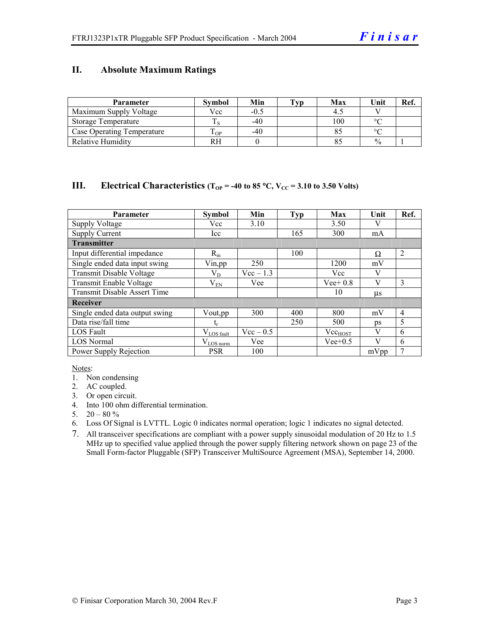#### **II. Absolute Maximum Ratings**

| <b>Parameter</b>                  | <b>Symbol</b> | Min    | Tvp | Max | Unit          | Ref. |
|-----------------------------------|---------------|--------|-----|-----|---------------|------|
| Maximum Supply Voltage            | Vcc           | $-0.5$ |     |     |               |      |
| Storage Temperature               |               | $-40$  |     | 100 | $\circ$       |      |
| <b>Case Operating Temperature</b> | m<br>OP.      | -40    |     |     | $\Omega$      |      |
| Relative Humidity                 |               |        |     |     | $\frac{0}{0}$ |      |

#### **III.** Electrical Characteristics ( $T_{OP}$  = -40 to 85 °C,  $V_{CC}$  = 3.10 to 3.50 Volts)

| <b>Parameter</b>                    | <b>Symbol</b>          | Min         | <b>Typ</b> | Max          | Unit    | Ref.           |
|-------------------------------------|------------------------|-------------|------------|--------------|---------|----------------|
| <b>Supply Voltage</b>               | Vcc                    | 3.10        |            | 3.50         |         |                |
| <b>Supply Current</b>               | Icc                    |             | 165        | 300          | mA      |                |
| <b>Transmitter</b>                  |                        |             |            |              |         |                |
| Input differential impedance        | $R_{in}$               |             | 100        |              | Ω       | $\overline{2}$ |
| Single ended data input swing       | Vin, pp                | 250         |            | 1200         | mV      |                |
| Transmit Disable Voltage            | $\rm V_{D}$            | $Vec-1.3$   |            | Vcc          | V       |                |
| Transmit Enable Voltage             | $\rm V_{EN}$           | Vee         |            | $Vee+0.8$    | V       | 3              |
| <b>Transmit Disable Assert Time</b> |                        |             |            | 10           | $\mu$ s |                |
| Receiver                            |                        |             |            |              |         |                |
| Single ended data output swing      | Vout, pp               | 300         | 400        | 800          | mV      | $\overline{4}$ |
| Data rise/fall time                 | $\mathrm{t_{r}}$       |             | 250        | 500          | ps      | 5              |
| <b>LOS</b> Fault                    | $V_{\text{LOS}}$ fault | $Vec - 0.5$ |            | $Vec_{HOST}$ | V       | 6              |
| <b>LOS Normal</b>                   | $V_{LOS\,norm}$        | Vee         |            | $Vee+0.5$    | V       | 6              |
| Power Supply Rejection              | <b>PSR</b>             | 100         |            |              | mVpp    | 7              |

Notes:

- 1. Non condensing
- 2. AC coupled.
- 3. Or open circuit.
- 4. Into 100 ohm differential termination.
- 5.  $20 80 \%$
- 6. Loss Of Signal is LVTTL. Logic 0 indicates normal operation; logic 1 indicates no signal detected.
- 7. All transceiver specifications are compliant with a power supply sinusoidal modulation of 20 Hz to 1.5 MHz up to specified value applied through the power supply filtering network shown on page 23 of the Small Form-factor Pluggable (SFP) Transceiver MultiSource Agreement (MSA), September 14, 2000.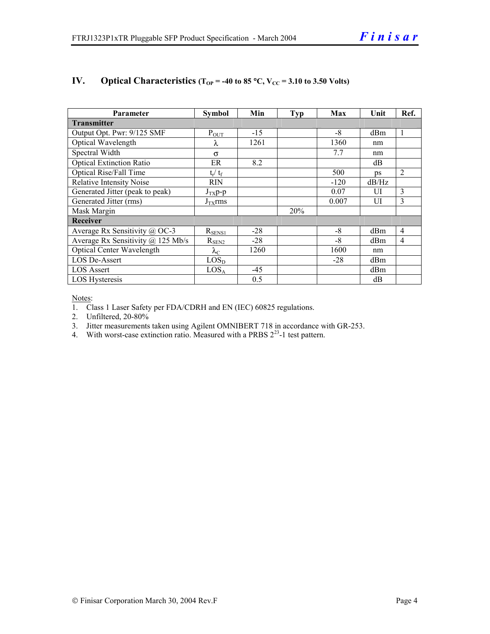| <b>Parameter</b>                  | <b>Symbol</b>     | Min   | <b>Typ</b> | Max    | Unit       | Ref.           |  |  |
|-----------------------------------|-------------------|-------|------------|--------|------------|----------------|--|--|
| <b>Transmitter</b>                |                   |       |            |        |            |                |  |  |
| Output Opt. Pwr: 9/125 SMF        | $P_{OUT}$         | $-15$ |            | $-8$   | dBm        | 1              |  |  |
| Optical Wavelength                | λ                 | 1261  |            | 1360   | nm         |                |  |  |
| Spectral Width                    | σ                 |       |            | 7.7    | nm         |                |  |  |
| <b>Optical Extinction Ratio</b>   | ER                | 8.2   |            |        | dB         |                |  |  |
| Optical Rise/Fall Time            | $t_r / t_f$       |       |            | 500    | $\n  DS\n$ | $\overline{2}$ |  |  |
| <b>Relative Intensity Noise</b>   | <b>RIN</b>        |       |            | $-120$ | dB/Hz      |                |  |  |
| Generated Jitter (peak to peak)   | $J_{TX}p-p$       |       |            | 0.07   | UI         | 3              |  |  |
| Generated Jitter (rms)            | $J_{TX}$ rms      |       |            | 0.007  | UI         | 3              |  |  |
| Mask Margin                       |                   |       | 20%        |        |            |                |  |  |
| <b>Receiver</b>                   |                   |       |            |        |            |                |  |  |
| Average Rx Sensitivity @ OC-3     | $R_{SENS1}$       | $-28$ |            | $-8$   | dBm        | $\overline{4}$ |  |  |
| Average Rx Sensitivity @ 125 Mb/s | $R_{SEN2}$        | $-28$ |            | $-8$   | dBm        | $\overline{4}$ |  |  |
| Optical Center Wavelength         | $\lambda_{\rm C}$ | 1260  |            | 1600   | nm         |                |  |  |
| <b>LOS De-Assert</b>              | LOS <sub>D</sub>  |       |            | $-28$  | dBm        |                |  |  |
| <b>LOS Assert</b>                 | LOS <sub>A</sub>  | $-45$ |            |        | dBm        |                |  |  |
| <b>LOS</b> Hysteresis             |                   | 0.5   |            |        | dB         |                |  |  |

#### **IV.** Optical Characteristics ( $T_{OP}$  = -40 to 85 °C,  $V_{CC}$  = 3.10 to 3.50 Volts)

Notes:

1. Class 1 Laser Safety per FDA/CDRH and EN (IEC) 60825 regulations.

2. Unfiltered, 20-80%

3. Jitter measurements taken using Agilent OMNIBERT 718 in accordance with GR-253.

4. With worst-case extinction ratio. Measured with a PRBS  $2^{23}$ -1 test pattern.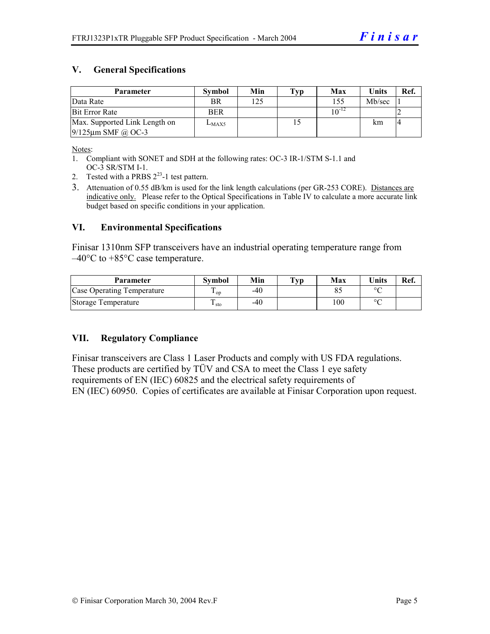#### **V. General Specifications**

| Parameter                     | <b>Symbol</b> | Min | Typ | Max        | <b>Units</b> | Ref. |
|-------------------------------|---------------|-----|-----|------------|--------------|------|
| Data Rate                     | <b>BR</b>     | 125 |     | 155        | Mb/sec       |      |
| <b>Bit Error Rate</b>         | <b>BER</b>    |     |     | $10^{-12}$ |              |      |
| Max. Supported Link Length on | $L_{MAX5}$    |     |     |            | km           |      |
| $9/125 \mu m$ SMF @ OC-3      |               |     |     |            |              |      |

Notes:

- 1. Compliant with SONET and SDH at the following rates: OC-3 IR-1/STM S-1.1 and OC-3 SR/STM I-1.
- 2. Tested with a PRBS  $2^{23}$ -1 test pattern.
- 3. Attenuation of 0.55 dB/km is used for the link length calculations (per GR-253 CORE). Distances are indicative only. Please refer to the Optical Specifications in Table IV to calculate a more accurate link budget based on specific conditions in your application.

#### **VI. Environmental Specifications**

Finisar 1310nm SFP transceivers have an industrial operating temperature range from  $-40^{\circ}$ C to  $+85^{\circ}$ C case temperature.

| <b>Parameter</b>           | Svmbol | Min | $\mathbf{T}_{\mathbf{V}\mathbf{p}}$ | Max | <b>Units</b> | Ref. |
|----------------------------|--------|-----|-------------------------------------|-----|--------------|------|
| Case Operating Temperature | L OD   | -40 |                                     |     | $\sim$       |      |
| Storage Temperature        | sto    | -40 |                                     | 100 | $\sim$       |      |

#### **VII. Regulatory Compliance**

Finisar transceivers are Class 1 Laser Products and comply with US FDA regulations. These products are certified by TÜV and CSA to meet the Class 1 eye safety requirements of EN (IEC) 60825 and the electrical safety requirements of EN (IEC) 60950. Copies of certificates are available at Finisar Corporation upon request.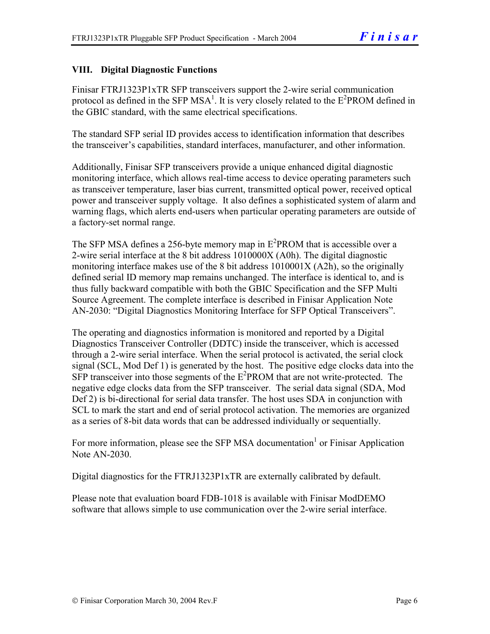#### **VIII. Digital Diagnostic Functions**

Finisar FTRJ1323P1xTR SFP transceivers support the 2-wire serial communication protocol as defined in the SFP MSA<sup>1</sup>. It is very closely related to the  $E^2$ PROM defined in the GBIC standard, with the same electrical specifications.

The standard SFP serial ID provides access to identification information that describes the transceiver's capabilities, standard interfaces, manufacturer, and other information.

Additionally, Finisar SFP transceivers provide a unique enhanced digital diagnostic monitoring interface, which allows real-time access to device operating parameters such as transceiver temperature, laser bias current, transmitted optical power, received optical power and transceiver supply voltage. It also defines a sophisticated system of alarm and warning flags, which alerts end-users when particular operating parameters are outside of a factory-set normal range.

The SFP MSA defines a 256-byte memory map in  $E^2$ PROM that is accessible over a 2-wire serial interface at the 8 bit address 1010000X (A0h). The digital diagnostic monitoring interface makes use of the 8 bit address 1010001X (A2h), so the originally defined serial ID memory map remains unchanged. The interface is identical to, and is thus fully backward compatible with both the GBIC Specification and the SFP Multi Source Agreement. The complete interface is described in Finisar Application Note AN-2030: "Digital Diagnostics Monitoring Interface for SFP Optical Transceivers".

The operating and diagnostics information is monitored and reported by a Digital Diagnostics Transceiver Controller (DDTC) inside the transceiver, which is accessed through a 2-wire serial interface. When the serial protocol is activated, the serial clock signal (SCL, Mod Def 1) is generated by the host. The positive edge clocks data into the  $SFP$  transceiver into those segments of the  $E^2$ PROM that are not write-protected. The negative edge clocks data from the SFP transceiver. The serial data signal (SDA, Mod Def 2) is bi-directional for serial data transfer. The host uses SDA in conjunction with SCL to mark the start and end of serial protocol activation. The memories are organized as a series of 8-bit data words that can be addressed individually or sequentially.

For more information, please see the SFP MSA documentation<sup>1</sup> or Finisar Application Note AN-2030.

Digital diagnostics for the FTRJ1323P1xTR are externally calibrated by default.

Please note that evaluation board FDB-1018 is available with Finisar ModDEMO software that allows simple to use communication over the 2-wire serial interface.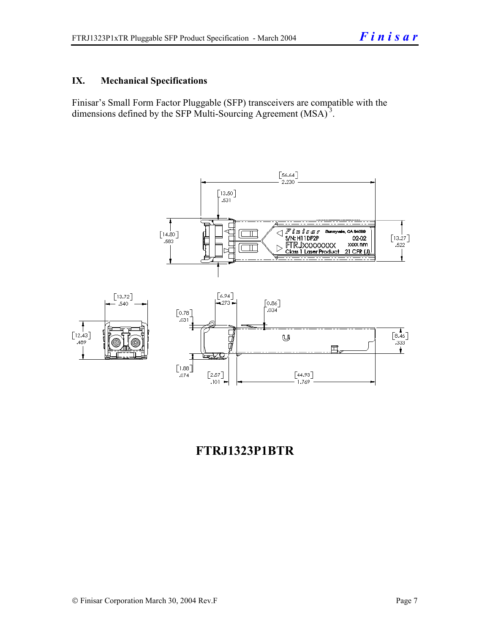#### **IX. Mechanical Specifications**

Finisar's Small Form Factor Pluggable (SFP) transceivers are compatible with the dimensions defined by the SFP Multi-Sourcing Agreement (MSA)<sup>3</sup>.



### **FTRJ1323P1BTR**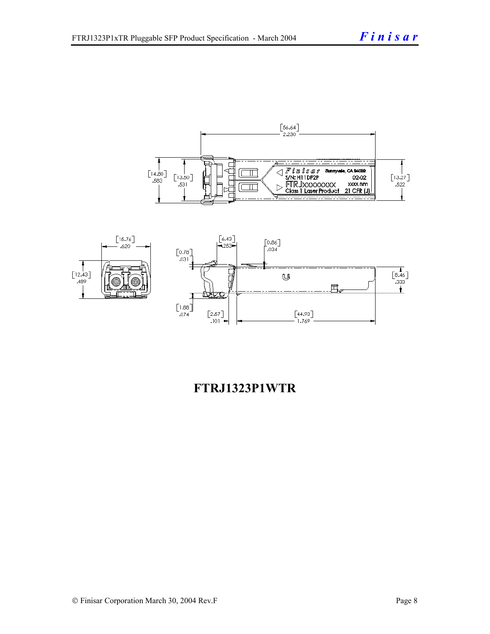



### **FTRJ1323P1WTR**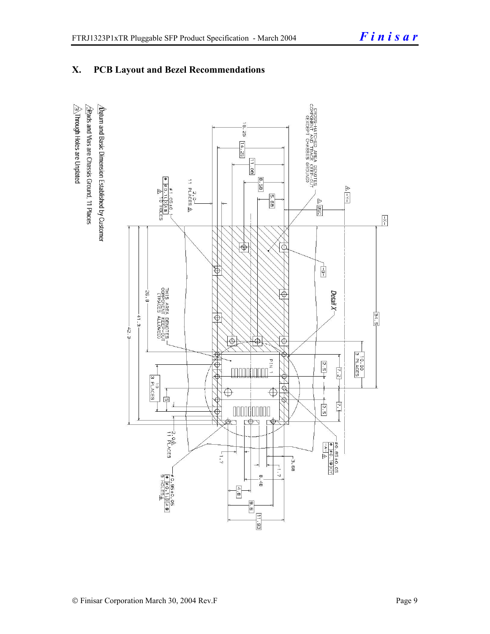#### **X. PCB Layout and Bezel Recommendations**

 $\hat{\triangle}$ Through Holes are Unplated  $\Delta$ atum and Basic Dimension Established by Customer  $\triangle$ Rads and Vias are Chassis Ground, 11 Places

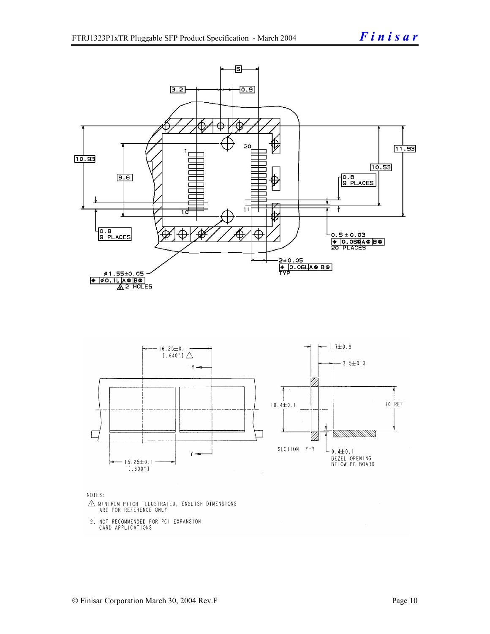

NOTES:

- $\triangle$  MINIMUM PITCH ILLUSTRATED, ENGLISH DIMENSIONS ARE FOR REFERENCE ONLY
- 2. NOT RECOMMENDED FOR PCI EXPANSION CARD APPLICATIONS